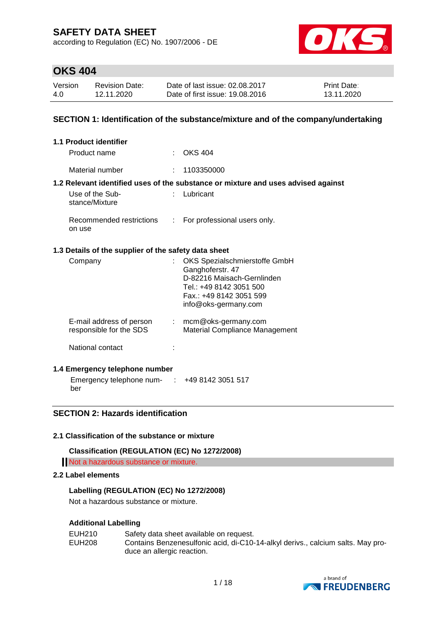according to Regulation (EC) No. 1907/2006 - DE



### **OKS 404**

| Version | <b>Revision Date:</b> | Date of last issue: 02.08.2017  | <b>Print Date:</b> |
|---------|-----------------------|---------------------------------|--------------------|
| 4.0     | 12.11.2020            | Date of first issue: 19.08.2016 | 13.11.2020         |

### **SECTION 1: Identification of the substance/mixture and of the company/undertaking**

| 1.1 Product identifier                               |    |                                                                                                                                                               |
|------------------------------------------------------|----|---------------------------------------------------------------------------------------------------------------------------------------------------------------|
| Product name                                         |    | $\therefore$ OKS 404                                                                                                                                          |
| Material number                                      |    | : 1103350000                                                                                                                                                  |
|                                                      |    | 1.2 Relevant identified uses of the substance or mixture and uses advised against                                                                             |
| Use of the Sub-<br>stance/Mixture                    |    | Lubricant                                                                                                                                                     |
| Recommended restrictions<br>on use                   | ÷. | For professional users only.                                                                                                                                  |
| 1.3 Details of the supplier of the safety data sheet |    |                                                                                                                                                               |
| Company                                              |    | OKS Spezialschmierstoffe GmbH<br>Ganghoferstr. 47<br>D-82216 Maisach-Gernlinden<br>Tel.: +49 8142 3051 500<br>Fax.: +49 8142 3051 599<br>info@oks-germany.com |
| E-mail address of person<br>responsible for the SDS  | t. | mcm@oks-germany.com<br>Material Compliance Management                                                                                                         |
| National contact                                     |    |                                                                                                                                                               |

#### **1.4 Emergency telephone number**

Emergency telephone num-: +49 8142 3051 517 ber

### **SECTION 2: Hazards identification**

#### **2.1 Classification of the substance or mixture**

**Classification (REGULATION (EC) No 1272/2008)**

Not a hazardous substance or mixture.

### **2.2 Label elements**

#### **Labelling (REGULATION (EC) No 1272/2008)**

Not a hazardous substance or mixture.

#### **Additional Labelling**

| EUH210 | Safety data sheet available on request.                                         |
|--------|---------------------------------------------------------------------------------|
| EUH208 | Contains Benzenesulfonic acid, di-C10-14-alkyl derivs., calcium salts. May pro- |
|        | duce an allergic reaction.                                                      |

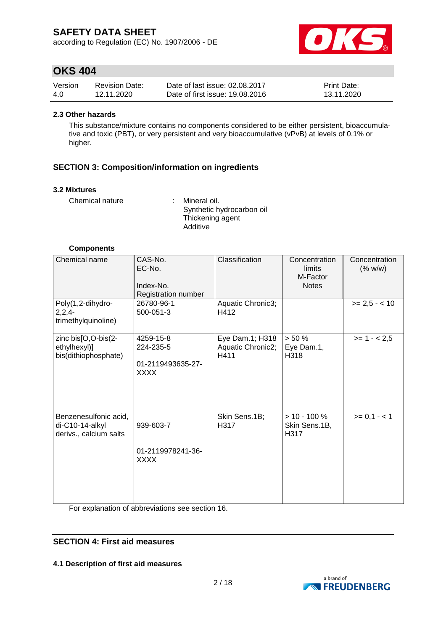according to Regulation (EC) No. 1907/2006 - DE



### **OKS 404**

| Version | <b>Revision Date:</b> | Date of last issue: 02.08.2017  | <b>Print Date:</b> |
|---------|-----------------------|---------------------------------|--------------------|
| 4.0     | 12.11.2020            | Date of first issue: 19.08.2016 | 13.11.2020         |

#### **2.3 Other hazards**

This substance/mixture contains no components considered to be either persistent, bioaccumulative and toxic (PBT), or very persistent and very bioaccumulative (vPvB) at levels of 0.1% or higher.

### **SECTION 3: Composition/information on ingredients**

#### **3.2 Mixtures**

Chemical nature : Mineral oil.

Synthetic hydrocarbon oil Thickening agent Additive

#### **Components**

| Chemical name                                                      | CAS-No.<br>EC-No.<br>Index-No.<br>Registration number      | Classification                               | Concentration<br>limits<br>M-Factor<br><b>Notes</b> | Concentration<br>(% w/w) |
|--------------------------------------------------------------------|------------------------------------------------------------|----------------------------------------------|-----------------------------------------------------|--------------------------|
| Poly(1,2-dihydro-<br>$2,2,4-$<br>trimethylquinoline)               | 26780-96-1<br>500-051-3                                    | Aquatic Chronic3;<br>H412                    |                                                     | $>= 2.5 - < 10$          |
| zinc bis[O,O-bis(2-<br>ethylhexyl)]<br>bis(dithiophosphate)        | 4259-15-8<br>224-235-5<br>01-2119493635-27-<br><b>XXXX</b> | Eye Dam.1; H318<br>Aquatic Chronic2;<br>H411 | > 50%<br>Eye Dam.1,<br>H318                         | $>= 1 - 2.5$             |
| Benzenesulfonic acid,<br>di-C10-14-alkyl<br>derivs., calcium salts | 939-603-7<br>01-2119978241-36-<br><b>XXXX</b>              | Skin Sens.1B;<br>H317                        | $> 10 - 100 \%$<br>Skin Sens.1B,<br>H317            | $>= 0,1 - 1$             |

For explanation of abbreviations see section 16.

### **SECTION 4: First aid measures**

**4.1 Description of first aid measures**

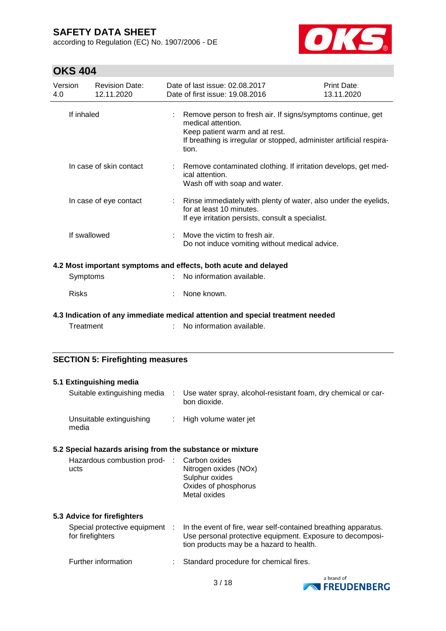according to Regulation (EC) No. 1907/2006 - DE



| Version<br>4.0 | <b>Revision Date:</b><br>12.11.2020     |  | Date of last issue: 02.08.2017<br>Date of first issue: 19.08.2016                                                                                                                                    | Print Date:<br>13.11.2020 |
|----------------|-----------------------------------------|--|------------------------------------------------------------------------------------------------------------------------------------------------------------------------------------------------------|---------------------------|
| If inhaled     |                                         |  | Remove person to fresh air. If signs/symptoms continue, get<br>medical attention.<br>Keep patient warm and at rest.<br>If breathing is irregular or stopped, administer artificial respira-<br>tion. |                           |
|                | In case of skin contact                 |  | : Remove contaminated clothing. If irritation develops, get med-<br>ical attention.<br>Wash off with soap and water.                                                                                 |                           |
|                | In case of eye contact                  |  | : Rinse immediately with plenty of water, also under the eyelids,<br>for at least 10 minutes.<br>If eye irritation persists, consult a specialist.                                                   |                           |
|                | If swallowed                            |  | Move the victim to fresh air.<br>Do not induce vomiting without medical advice.                                                                                                                      |                           |
|                |                                         |  | 4.2 Most important symptoms and effects, both acute and delayed                                                                                                                                      |                           |
|                | Symptoms                                |  | No information available.                                                                                                                                                                            |                           |
| <b>Risks</b>   |                                         |  | None known.                                                                                                                                                                                          |                           |
|                |                                         |  | 4.3 Indication of any immediate medical attention and special treatment needed                                                                                                                       |                           |
|                | Treatment                               |  | No information available.                                                                                                                                                                            |                           |
|                | <b>SECTION 5: Firefighting measures</b> |  |                                                                                                                                                                                                      |                           |

| 5.1 Extinguishing media                                   |                                                                                                                                                                         |
|-----------------------------------------------------------|-------------------------------------------------------------------------------------------------------------------------------------------------------------------------|
| Suitable extinguishing media :                            | Use water spray, alcohol-resistant foam, dry chemical or car-<br>bon dioxide.                                                                                           |
| Unsuitable extinguishing<br>media                         | : High volume water jet                                                                                                                                                 |
| 5.2 Special hazards arising from the substance or mixture |                                                                                                                                                                         |
| Hazardous combustion prod- : Carbon oxides<br>ucts        | Nitrogen oxides (NOx)<br>Sulphur oxides<br>Oxides of phosphorus<br>Metal oxides                                                                                         |
| 5.3 Advice for firefighters                               |                                                                                                                                                                         |
| Special protective equipment :<br>for firefighters        | In the event of fire, wear self-contained breathing apparatus.<br>Use personal protective equipment. Exposure to decomposi-<br>tion products may be a hazard to health. |
| Further information                                       | Standard procedure for chemical fires.                                                                                                                                  |

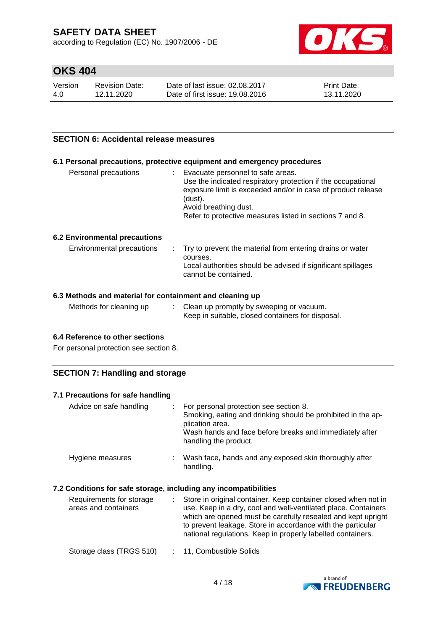according to Regulation (EC) No. 1907/2006 - DE



## **OKS 404**

| Version | <b>Revision Date:</b> | Date of last issue: 02.08.2017  | <b>Print Date:</b> |
|---------|-----------------------|---------------------------------|--------------------|
| 4.0     | 12.11.2020            | Date of first issue: 19,08,2016 | 13.11.2020         |

#### **SECTION 6: Accidental release measures**

#### **6.1 Personal precautions, protective equipment and emergency procedures**

| Personal precautions | t. | Evacuate personnel to safe areas.<br>Use the indicated respiratory protection if the occupational<br>exposure limit is exceeded and/or in case of product release<br>(dust).<br>Avoid breathing dust.<br>Refer to protective measures listed in sections 7 and 8. |
|----------------------|----|-------------------------------------------------------------------------------------------------------------------------------------------------------------------------------------------------------------------------------------------------------------------|
|                      |    |                                                                                                                                                                                                                                                                   |

#### **6.2 Environmental precautions**

| Environmental precautions | . Try to prevent the material from entering drains or water<br>courses.<br>Local authorities should be advised if significant spillages<br>cannot be contained. |
|---------------------------|-----------------------------------------------------------------------------------------------------------------------------------------------------------------|
|---------------------------|-----------------------------------------------------------------------------------------------------------------------------------------------------------------|

#### **6.3 Methods and material for containment and cleaning up**

| Methods for cleaning up<br>Clean up promptly by sweeping or vacuum.<br>Keep in suitable, closed containers for disposal. |  |
|--------------------------------------------------------------------------------------------------------------------------|--|
|--------------------------------------------------------------------------------------------------------------------------|--|

#### **6.4 Reference to other sections**

For personal protection see section 8.

### **SECTION 7: Handling and storage**

| 7.1 Precautions for safe handling |                                                                                                                                                                                                               |
|-----------------------------------|---------------------------------------------------------------------------------------------------------------------------------------------------------------------------------------------------------------|
| Advice on safe handling           | For personal protection see section 8.<br>Smoking, eating and drinking should be prohibited in the ap-<br>plication area.<br>Wash hands and face before breaks and immediately after<br>handling the product. |
| Hygiene measures                  | Wash face, hands and any exposed skin thoroughly after<br>handling.                                                                                                                                           |

### **7.2 Conditions for safe storage, including any incompatibilities**

| Requirements for storage<br>areas and containers | Store in original container. Keep container closed when not in<br>use. Keep in a dry, cool and well-ventilated place. Containers<br>which are opened must be carefully resealed and kept upright<br>to prevent leakage. Store in accordance with the particular<br>national regulations. Keep in properly labelled containers. |
|--------------------------------------------------|--------------------------------------------------------------------------------------------------------------------------------------------------------------------------------------------------------------------------------------------------------------------------------------------------------------------------------|
| Storage class (TRGS 510)                         | : 11, Combustible Solids                                                                                                                                                                                                                                                                                                       |

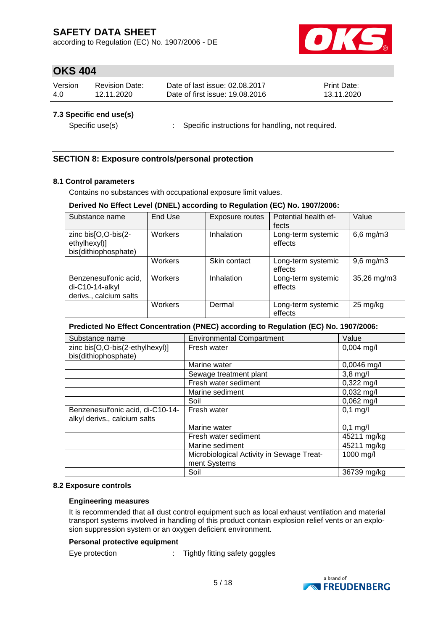according to Regulation (EC) No. 1907/2006 - DE



## **OKS 404**

| Version | Revision Date: | Date of last issue: 02.08.2017  | <b>Print Date:</b> |
|---------|----------------|---------------------------------|--------------------|
| 4.0     | 12.11.2020     | Date of first issue: 19,08,2016 | 13.11.2020         |

#### **7.3 Specific end use(s)**

Specific use(s) : Specific instructions for handling, not required.

### **SECTION 8: Exposure controls/personal protection**

### **8.1 Control parameters**

Contains no substances with occupational exposure limit values.

#### **Derived No Effect Level (DNEL) according to Regulation (EC) No. 1907/2006:**

| Substance name                                                     | End Use | <b>Exposure routes</b> | Potential health ef-<br>fects | Value              |
|--------------------------------------------------------------------|---------|------------------------|-------------------------------|--------------------|
| zinc bis[O,O-bis(2-<br>ethylhexyl)]<br>bis(dithiophosphate)        | Workers | Inhalation             | Long-term systemic<br>effects | $6,6$ mg/m $3$     |
|                                                                    | Workers | Skin contact           | Long-term systemic<br>effects | $9,6$ mg/m $3$     |
| Benzenesulfonic acid,<br>di-C10-14-alkyl<br>derivs., calcium salts | Workers | Inhalation             | Long-term systemic<br>effects | 35,26 mg/m3        |
|                                                                    | Workers | Dermal                 | Long-term systemic<br>effects | $25 \text{ mg/kg}$ |

#### **Predicted No Effect Concentration (PNEC) according to Regulation (EC) No. 1907/2006:**

| Substance name                   | <b>Environmental Compartment</b>          | Value                |
|----------------------------------|-------------------------------------------|----------------------|
| zinc bis[O,O-bis(2-ethylhexyl)]  | Fresh water                               | $0,004$ mg/l         |
| bis(dithiophosphate)             |                                           |                      |
|                                  | Marine water                              | $0,0046$ mg/l        |
|                                  | Sewage treatment plant                    | $3,8$ mg/l           |
|                                  | Fresh water sediment                      | $0,322 \text{ mg/l}$ |
|                                  | Marine sediment                           | $0,032$ mg/l         |
|                                  | Soil                                      | $0,062$ mg/l         |
| Benzenesulfonic acid, di-C10-14- | Fresh water                               | $0,1$ mg/l           |
| alkyl derivs., calcium salts     |                                           |                      |
|                                  | Marine water                              | $0,1$ mg/l           |
|                                  | Fresh water sediment                      | 45211 mg/kg          |
|                                  | Marine sediment                           | 45211 mg/kg          |
|                                  | Microbiological Activity in Sewage Treat- | 1000 mg/l            |
|                                  | ment Systems                              |                      |
|                                  | Soil                                      | 36739 mg/kg          |

#### **8.2 Exposure controls**

#### **Engineering measures**

It is recommended that all dust control equipment such as local exhaust ventilation and material transport systems involved in handling of this product contain explosion relief vents or an explosion suppression system or an oxygen deficient environment.

#### **Personal protective equipment**

Eye protection : Tightly fitting safety goggles

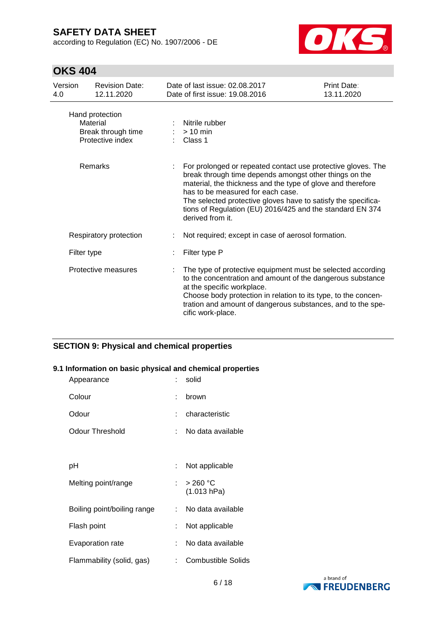according to Regulation (EC) No. 1907/2006 - DE



## **OKS 404**

| Version<br>4.0 | <b>Revision Date:</b><br>12.11.2020                                   | Date of last issue: 02.08.2017<br>Date of first issue: 19.08.2016                                                                                                                                                                                                                                                                                                            | Print Date:<br>13.11.2020 |
|----------------|-----------------------------------------------------------------------|------------------------------------------------------------------------------------------------------------------------------------------------------------------------------------------------------------------------------------------------------------------------------------------------------------------------------------------------------------------------------|---------------------------|
|                | Hand protection<br>Material<br>Break through time<br>Protective index | Nitrile rubber<br>$>10$ min<br>Class 1                                                                                                                                                                                                                                                                                                                                       |                           |
|                | Remarks                                                               | For prolonged or repeated contact use protective gloves. The<br>break through time depends amongst other things on the<br>material, the thickness and the type of glove and therefore<br>has to be measured for each case.<br>The selected protective gloves have to satisfy the specifica-<br>tions of Regulation (EU) 2016/425 and the standard EN 374<br>derived from it. |                           |
|                | Respiratory protection                                                | Not required; except in case of aerosol formation.                                                                                                                                                                                                                                                                                                                           |                           |
|                | Filter type                                                           | Filter type P                                                                                                                                                                                                                                                                                                                                                                |                           |
|                | Protective measures                                                   | The type of protective equipment must be selected according<br>to the concentration and amount of the dangerous substance<br>at the specific workplace.<br>Choose body protection in relation to its type, to the concen-<br>tration and amount of dangerous substances, and to the spe-<br>cific work-place.                                                                |                           |

### **SECTION 9: Physical and chemical properties**

### **9.1 Information on basic physical and chemical properties**

| Appearance                  |    | solid                     |
|-----------------------------|----|---------------------------|
| Colour                      | ٠  | brown                     |
| Odour                       |    | characteristic            |
| Odour Threshold             |    | No data available         |
|                             |    |                           |
| рH                          | t. | Not applicable            |
| Melting point/range         |    | $>$ 260 °C<br>(1.013 hPa) |
| Boiling point/boiling range | t. | No data available         |
| Flash point                 | ÷. | Not applicable            |
| Evaporation rate            | t. | No data available         |
| Flammability (solid, gas)   | t. | <b>Combustible Solids</b> |

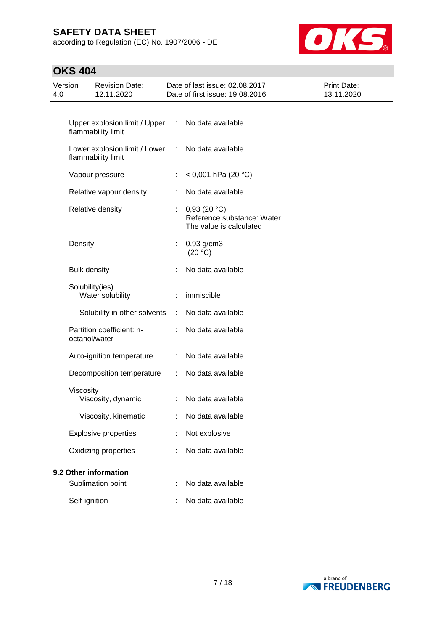according to Regulation (EC) No. 1907/2006 - DE



| Version<br>4.0 |                     | <b>Revision Date:</b><br>12.11.2020                 |    | Date of last issue: 02.08.2017<br>Date of first issue: 19.08.2016    | Print Date:<br>13.11.2020 |
|----------------|---------------------|-----------------------------------------------------|----|----------------------------------------------------------------------|---------------------------|
|                |                     | Upper explosion limit / Upper<br>flammability limit | ÷. | No data available                                                    |                           |
|                |                     | Lower explosion limit / Lower<br>flammability limit | ÷  | No data available                                                    |                           |
|                |                     | Vapour pressure                                     | ÷  | $< 0,001$ hPa (20 °C)                                                |                           |
|                |                     | Relative vapour density                             |    | No data available                                                    |                           |
|                |                     | Relative density                                    |    | 0,93(20 °C)<br>Reference substance: Water<br>The value is calculated |                           |
|                | Density             |                                                     | ÷. | $0,93$ g/cm3<br>(20 °C)                                              |                           |
|                | <b>Bulk density</b> |                                                     |    | No data available                                                    |                           |
|                |                     | Solubility(ies)<br>Water solubility                 | ÷  | immiscible                                                           |                           |
|                |                     | Solubility in other solvents                        | ÷  | No data available                                                    |                           |
|                | octanol/water       | Partition coefficient: n-                           |    | No data available                                                    |                           |
|                |                     | Auto-ignition temperature                           | ÷  | No data available                                                    |                           |
|                |                     | Decomposition temperature                           | ÷  | No data available                                                    |                           |
|                | Viscosity           | Viscosity, dynamic                                  | ÷. | No data available                                                    |                           |
|                |                     | Viscosity, kinematic                                |    | No data available                                                    |                           |
|                |                     | <b>Explosive properties</b>                         |    | Not explosive                                                        |                           |
|                |                     | Oxidizing properties                                |    | No data available                                                    |                           |
|                |                     | 9.2 Other information                               |    |                                                                      |                           |
|                |                     | Sublimation point                                   |    | No data available                                                    |                           |
|                | Self-ignition       |                                                     |    | No data available                                                    |                           |

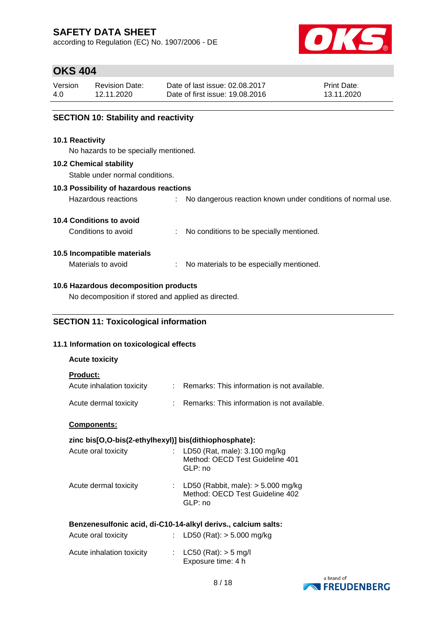according to Regulation (EC) No. 1907/2006 - DE



## **OKS 404**

| Version | Revision Date: | Date of last issue: 02.08.2017  | <b>Print Date:</b> |
|---------|----------------|---------------------------------|--------------------|
| 4.0     | 12.11.2020     | Date of first issue: 19.08.2016 | 13.11.2020         |

### **SECTION 10: Stability and reactivity**

#### **10.1 Reactivity**

No hazards to be specially mentioned.

#### **10.2 Chemical stability**

Stable under normal conditions.

### **10.3 Possibility of hazardous reactions**

| Hazardous reactions |  | No dangerous reaction known under conditions of normal use. |
|---------------------|--|-------------------------------------------------------------|
|---------------------|--|-------------------------------------------------------------|

### **10.4 Conditions to avoid**

Conditions to avoid : No conditions to be specially mentioned.

### **10.5 Incompatible materials**

Materials to avoid : No materials to be especially mentioned.

### **10.6 Hazardous decomposition products**

No decomposition if stored and applied as directed.

### **SECTION 11: Toxicological information**

#### **11.1 Information on toxicological effects**

| <b>Acute toxicity</b>                        |                                               |
|----------------------------------------------|-----------------------------------------------|
| <b>Product:</b><br>Acute inhalation toxicity | Remarks: This information is not available.   |
| Acute dermal toxicity                        | : Remarks: This information is not available. |

#### **Components:**

### **zinc bis[O,O-bis(2-ethylhexyl)] bis(dithiophosphate):**

| Acute oral toxicity   | : LD50 (Rat, male): $3.100$ mg/kg<br>Method: OECD Test Guideline 401<br>GLP: no      |
|-----------------------|--------------------------------------------------------------------------------------|
| Acute dermal toxicity | : LD50 (Rabbit, male): $>$ 5.000 mg/kg<br>Method: OECD Test Guideline 402<br>GLP: no |

### **Benzenesulfonic acid, di-C10-14-alkyl derivs., calcium salts:**

| Acute oral toxicity       | : LD50 (Rat): $> 5.000$ mg/kg                  |
|---------------------------|------------------------------------------------|
| Acute inhalation toxicity | : $LC50 (Rat): > 5 mg/l$<br>Exposure time: 4 h |

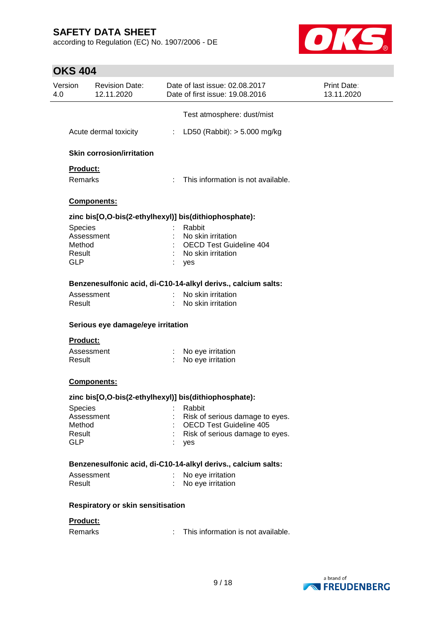according to Regulation (EC) No. 1907/2006 - DE



| Version<br>4.0 | <b>Revision Date:</b><br>12.11.2020      |   | Date of last issue: 02.08.2017<br>Date of first issue: 19.08.2016 | <b>Print Date:</b><br>13.11.2020 |
|----------------|------------------------------------------|---|-------------------------------------------------------------------|----------------------------------|
|                |                                          |   | Test atmosphere: dust/mist                                        |                                  |
|                | Acute dermal toxicity                    |   | : LD50 (Rabbit): $> 5.000$ mg/kg                                  |                                  |
|                | <b>Skin corrosion/irritation</b>         |   |                                                                   |                                  |
|                | Product:                                 |   |                                                                   |                                  |
|                | Remarks                                  |   | : This information is not available.                              |                                  |
|                | Components:                              |   |                                                                   |                                  |
|                |                                          |   | zinc bis[O,O-bis(2-ethylhexyl)] bis(dithiophosphate):             |                                  |
| Species        |                                          |   | Rabbit                                                            |                                  |
|                | Assessment                               |   | No skin irritation                                                |                                  |
| Method         |                                          |   | <b>OECD Test Guideline 404</b>                                    |                                  |
| Result         |                                          |   | No skin irritation                                                |                                  |
| <b>GLP</b>     |                                          |   | yes                                                               |                                  |
|                |                                          |   | Benzenesulfonic acid, di-C10-14-alkyl derivs., calcium salts:     |                                  |
|                | Assessment                               |   | No skin irritation                                                |                                  |
| Result         |                                          |   | No skin irritation                                                |                                  |
|                | Serious eye damage/eye irritation        |   |                                                                   |                                  |
|                | <b>Product:</b>                          |   |                                                                   |                                  |
|                | Assessment                               |   | No eye irritation                                                 |                                  |
| Result         |                                          |   | No eye irritation                                                 |                                  |
|                | Components:                              |   |                                                                   |                                  |
|                |                                          |   | zinc bis[O,O-bis(2-ethylhexyl)] bis(dithiophosphate):             |                                  |
| Species        |                                          |   | Rabbit                                                            |                                  |
|                | Assessment                               |   | Risk of serious damage to eyes.                                   |                                  |
| Method         |                                          |   | <b>OECD Test Guideline 405</b>                                    |                                  |
| Result         |                                          |   | Risk of serious damage to eyes.                                   |                                  |
| <b>GLP</b>     |                                          |   | yes                                                               |                                  |
|                |                                          |   | Benzenesulfonic acid, di-C10-14-alkyl derivs., calcium salts:     |                                  |
|                | Assessment                               |   | No eye irritation                                                 |                                  |
| Result         |                                          |   | No eye irritation                                                 |                                  |
|                | <b>Respiratory or skin sensitisation</b> |   |                                                                   |                                  |
|                | Product:                                 |   |                                                                   |                                  |
| Remarks        |                                          | ÷ | This information is not available.                                |                                  |
|                |                                          |   |                                                                   |                                  |

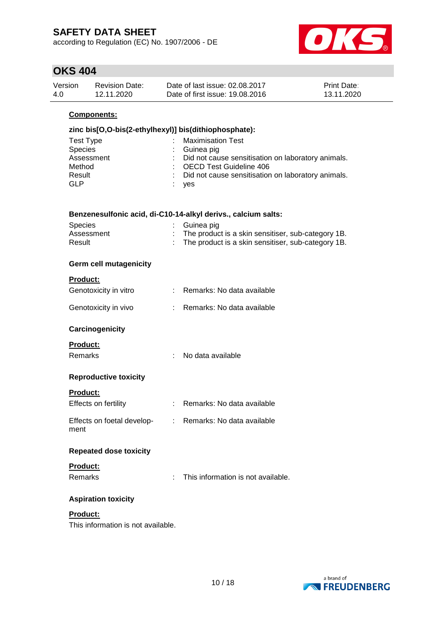according to Regulation (EC) No. 1907/2006 - DE



## **OKS 404**

| Version | Revision Date: | Date of last issue: 02.08.2017  | <b>Print Date:</b> |
|---------|----------------|---------------------------------|--------------------|
| 4.0     | 12.11.2020     | Date of first issue: 19.08.2016 | 13.11.2020         |

### **Components:**

| zinc bis[O,O-bis(2-ethylhexyl)] bis(dithiophosphate): |                                                      |  |  |  |
|-------------------------------------------------------|------------------------------------------------------|--|--|--|
| Test Type                                             | <b>Maximisation Test</b>                             |  |  |  |
| Species                                               | $\therefore$ Guinea pig                              |  |  |  |
| Assessment                                            | : Did not cause sensitisation on laboratory animals. |  |  |  |
| Method                                                | : OECD Test Guideline 406                            |  |  |  |
| Result                                                | : Did not cause sensitisation on laboratory animals. |  |  |  |
| <b>GLP</b>                                            | yes                                                  |  |  |  |
|                                                       |                                                      |  |  |  |

| Benzenesulfonic acid, di-C10-14-alkyl derivs., calcium salts: |  |  |
|---------------------------------------------------------------|--|--|
|---------------------------------------------------------------|--|--|

| Species    | : Guinea pig                                       |
|------------|----------------------------------------------------|
| Assessment | The product is a skin sensitiser, sub-category 1B. |
| Result     | The product is a skin sensitiser, sub-category 1B. |

### **Germ cell mutagenicity**

| <b>Product:</b>                         |                             |                                    |
|-----------------------------------------|-----------------------------|------------------------------------|
| Genotoxicity in vitro                   | t.                          | Remarks: No data available         |
| Genotoxicity in vivo                    |                             | Remarks: No data available         |
| Carcinogenicity                         |                             |                                    |
| <u>Product:</u>                         |                             |                                    |
| Remarks                                 | $\mathbf{r}_{\mathrm{max}}$ | No data available                  |
| <b>Reproductive toxicity</b>            |                             |                                    |
| <b>Product:</b>                         |                             |                                    |
| <b>Effects on fertility</b>             | t.                          | Remarks: No data available         |
| Effects on foetal develop-<br>:<br>ment |                             | Remarks: No data available         |
| <b>Repeated dose toxicity</b>           |                             |                                    |
| <b>Product:</b>                         |                             |                                    |
| Remarks                                 | t.                          | This information is not available. |
| <b>Aspiration toxicity</b>              |                             |                                    |

## **Product:**

This information is not available.

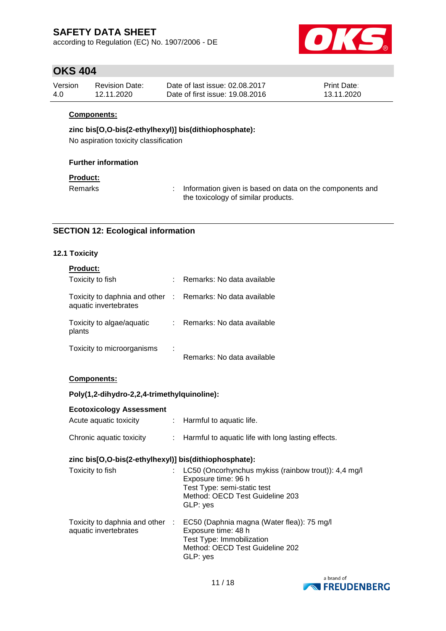according to Regulation (EC) No. 1907/2006 - DE



### **OKS 404**

| Version | <b>Revision Date:</b> | Date of last issue: 02.08.2017  | <b>Print Date:</b> |
|---------|-----------------------|---------------------------------|--------------------|
| 4.0     | 12.11.2020            | Date of first issue: 19.08.2016 | 13.11.2020         |

#### **Components:**

### **zinc bis[O,O-bis(2-ethylhexyl)] bis(dithiophosphate):**

No aspiration toxicity classification

### **Further information**

### **Product:**

Remarks : Information given is based on data on the components and the toxicology of similar products.

### **SECTION 12: Ecological information**

### **12.1 Toxicity**

| <b>Product:</b>                                        |             |                            |
|--------------------------------------------------------|-------------|----------------------------|
| Toxicity to fish                                       |             | Remarks: No data available |
| Toxicity to daphnia and other<br>aquatic invertebrates | $\sim 10^6$ | Remarks: No data available |
| Toxicity to algae/aquatic<br>plants                    | t.          | Remarks: No data available |
| Toxicity to microorganisms                             |             | Remarks: No data available |

**Components:**

#### **Poly(1,2-dihydro-2,2,4-trimethylquinoline):**

| <b>Ecotoxicology Assessment</b> |                                                    |
|---------------------------------|----------------------------------------------------|
| Acute aguatic toxicity          | $\therefore$ Harmful to aquatic life.              |
| Chronic aquatic toxicity        | Harmful to aquatic life with long lasting effects. |

### **zinc bis[O,O-bis(2-ethylhexyl)] bis(dithiophosphate):**

| Toxicity to fish                                         | LC50 (Oncorhynchus mykiss (rainbow trout)): 4,4 mg/l<br>Exposure time: 96 h<br>Test Type: semi-static test<br>Method: OECD Test Guideline 203<br>GLP: yes |
|----------------------------------------------------------|-----------------------------------------------------------------------------------------------------------------------------------------------------------|
| Toxicity to daphnia and other :<br>aquatic invertebrates | EC50 (Daphnia magna (Water flea)): 75 mg/l<br>Exposure time: 48 h<br>Test Type: Immobilization<br>Method: OECD Test Guideline 202<br>GLP: yes             |

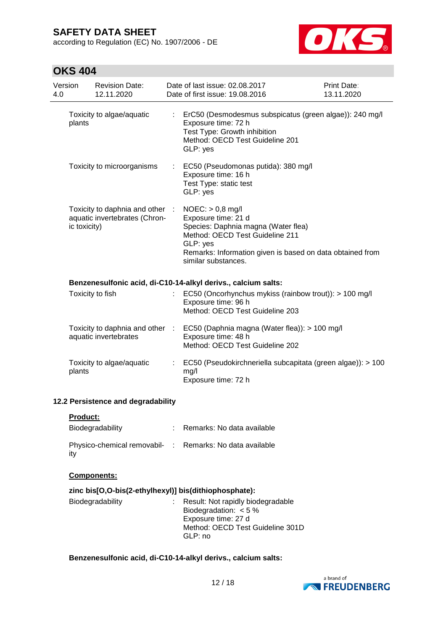according to Regulation (EC) No. 1907/2006 - DE



## **OKS 404**

| Version<br>4.0 |              | <b>Revision Date:</b><br>12.11.2020                              | Date of last issue: 02.08.2017<br>Date of first issue: 19.08.2016                                                                                                                                                   | <b>Print Date:</b><br>13.11.2020 |
|----------------|--------------|------------------------------------------------------------------|---------------------------------------------------------------------------------------------------------------------------------------------------------------------------------------------------------------------|----------------------------------|
|                | plants       | Toxicity to algae/aquatic                                        | ErC50 (Desmodesmus subspicatus (green algae)): 240 mg/l<br>Exposure time: 72 h<br>Test Type: Growth inhibition<br>Method: OECD Test Guideline 201<br>GLP: yes                                                       |                                  |
|                |              | Toxicity to microorganisms                                       | : EC50 (Pseudomonas putida): 380 mg/l<br>Exposure time: 16 h<br>Test Type: static test<br>GLP: yes                                                                                                                  |                                  |
|                | ic toxicity) | Toxicity to daphnia and other :<br>aquatic invertebrates (Chron- | $NOEC:$ > 0,8 mg/l<br>Exposure time: 21 d<br>Species: Daphnia magna (Water flea)<br>Method: OECD Test Guideline 211<br>GLP: yes<br>Remarks: Information given is based on data obtained from<br>similar substances. |                                  |
|                |              |                                                                  | Benzenesulfonic acid, di-C10-14-alkyl derivs., calcium salts:                                                                                                                                                       |                                  |
|                |              | Toxicity to fish                                                 | EC50 (Oncorhynchus mykiss (rainbow trout)): > 100 mg/l<br>Exposure time: 96 h<br>Method: OECD Test Guideline 203                                                                                                    |                                  |
|                |              | aquatic invertebrates                                            | Toxicity to daphnia and other : EC50 (Daphnia magna (Water flea)): > 100 mg/l<br>Exposure time: 48 h<br>Method: OECD Test Guideline 202                                                                             |                                  |
|                | plants       | Toxicity to algae/aquatic                                        | EC50 (Pseudokirchneriella subcapitata (green algae)): > 100<br>mg/l<br>Exposure time: 72 h                                                                                                                          |                                  |
|                |              | 12.2 Persistence and degradability                               |                                                                                                                                                                                                                     |                                  |
|                | Product:     |                                                                  |                                                                                                                                                                                                                     |                                  |
|                |              | Biodegradability                                                 | : Remarks: No data available                                                                                                                                                                                        |                                  |
|                | ity          | Physico-chemical removabil- :                                    | Remarks: No data available                                                                                                                                                                                          |                                  |
|                |              | <b>Components:</b>                                               |                                                                                                                                                                                                                     |                                  |
|                |              |                                                                  | zinc bis[O,O-bis(2-ethylhexyl)] bis(dithiophosphate):                                                                                                                                                               |                                  |
|                |              | Biodegradability                                                 | Result: Not rapidly biodegradable<br>Biodegradation: $< 5 \%$<br>Exposure time: 27 d<br>Method: OECD Test Guideline 301D                                                                                            |                                  |

### **Benzenesulfonic acid, di-C10-14-alkyl derivs., calcium salts:**

GLP: no

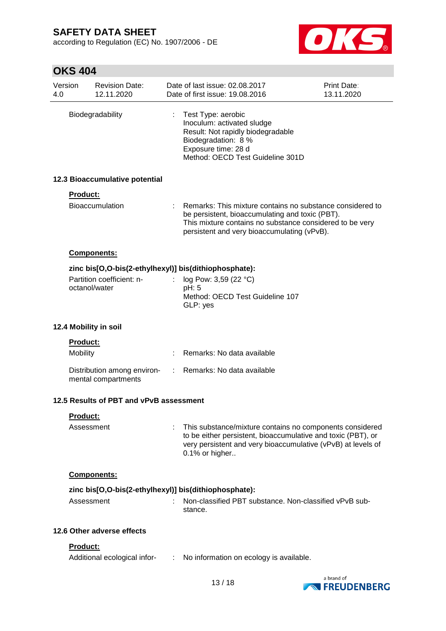according to Regulation (EC) No. 1907/2006 - DE



| Version<br>4.0 |                             | <b>Revision Date:</b><br>12.11.2020                |                | Date of last issue: 02.08.2017<br>Date of first issue: 19,08,2016                                                                                                                                                         | Print Date:<br>13.11.2020 |
|----------------|-----------------------------|----------------------------------------------------|----------------|---------------------------------------------------------------------------------------------------------------------------------------------------------------------------------------------------------------------------|---------------------------|
|                |                             | Biodegradability                                   |                | Test Type: aerobic<br>Inoculum: activated sludge<br>Result: Not rapidly biodegradable<br>Biodegradation: 8 %<br>Exposure time: 28 d<br>Method: OECD Test Guideline 301D                                                   |                           |
|                |                             | 12.3 Bioaccumulative potential                     |                |                                                                                                                                                                                                                           |                           |
|                | <b>Product:</b>             |                                                    |                |                                                                                                                                                                                                                           |                           |
|                |                             | <b>Bioaccumulation</b>                             |                | : Remarks: This mixture contains no substance considered to<br>be persistent, bioaccumulating and toxic (PBT).<br>This mixture contains no substance considered to be very<br>persistent and very bioaccumulating (vPvB). |                           |
|                |                             | Components:                                        |                |                                                                                                                                                                                                                           |                           |
|                |                             |                                                    |                | zinc bis[O,O-bis(2-ethylhexyl)] bis(dithiophosphate):                                                                                                                                                                     |                           |
|                | octanol/water               | Partition coefficient: n-                          | $\mathbb{R}^n$ | log Pow: 3,59 (22 °C)<br>pH: 5<br>Method: OECD Test Guideline 107<br>GLP: yes                                                                                                                                             |                           |
|                |                             | 12.4 Mobility in soil                              |                |                                                                                                                                                                                                                           |                           |
|                | <b>Product:</b><br>Mobility |                                                    |                | Remarks: No data available                                                                                                                                                                                                |                           |
|                |                             | Distribution among environ-<br>mental compartments |                | Remarks: No data available                                                                                                                                                                                                |                           |
|                |                             | 12.5 Results of PBT and vPvB assessment            |                |                                                                                                                                                                                                                           |                           |
|                | <b>Product:</b>             |                                                    |                |                                                                                                                                                                                                                           |                           |
|                | Assessment                  |                                                    |                | This substance/mixture contains no components considered<br>to be either persistent, bioaccumulative and toxic (PBT), or<br>very persistent and very bioaccumulative (vPvB) at levels of<br>0.1% or higher                |                           |
|                |                             | Components:                                        |                |                                                                                                                                                                                                                           |                           |
|                |                             |                                                    |                | zinc bis[O,O-bis(2-ethylhexyl)] bis(dithiophosphate):                                                                                                                                                                     |                           |
|                | Assessment                  |                                                    |                | Non-classified PBT substance. Non-classified vPvB sub-<br>stance.                                                                                                                                                         |                           |
|                |                             | 12.6 Other adverse effects                         |                |                                                                                                                                                                                                                           |                           |
|                | Product:                    |                                                    |                |                                                                                                                                                                                                                           |                           |
|                |                             | Additional ecological infor-                       | ÷              | No information on ecology is available.                                                                                                                                                                                   |                           |

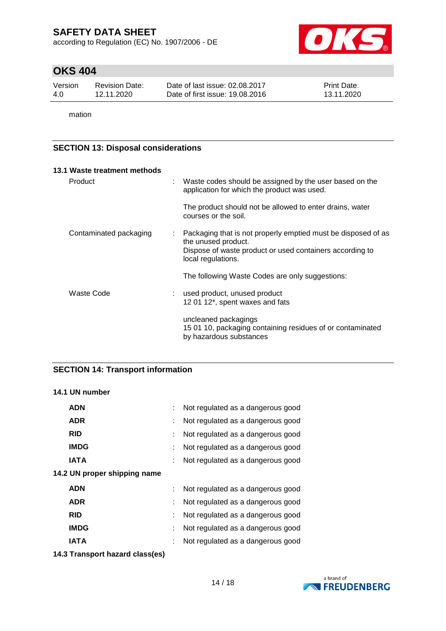according to Regulation (EC) No. 1907/2006 - DE



## **OKS 404**

| Version | <b>Revision Date:</b> | Date of last issue: 02.08.2017  | <b>Print Date:</b> |
|---------|-----------------------|---------------------------------|--------------------|
| 4.0     | 12.11.2020            | Date of first issue: 19,08,2016 | 13.11.2020         |

mation

### **SECTION 13: Disposal considerations**

| 13.1 Waste treatment methods |                                                                                                                                                  |
|------------------------------|--------------------------------------------------------------------------------------------------------------------------------------------------|
| Product                      | Waste codes should be assigned by the user based on the<br>application for which the product was used.                                           |
|                              | The product should not be allowed to enter drains, water<br>courses or the soil.                                                                 |
| Contaminated packaging       | Packaging that is not properly emptied must be disposed of as<br>the unused product.<br>Dispose of waste product or used containers according to |
|                              | local regulations.                                                                                                                               |
|                              | The following Waste Codes are only suggestions:                                                                                                  |
| Waste Code                   | used product, unused product<br>12 01 12*, spent waxes and fats                                                                                  |
|                              | uncleaned packagings<br>15 01 10, packaging containing residues of or contaminated<br>by hazardous substances                                    |

### **SECTION 14: Transport information**

### **14.1 UN number**

| <b>ADN</b>                   | Not regulated as a dangerous good |
|------------------------------|-----------------------------------|
| <b>ADR</b>                   | Not regulated as a dangerous good |
| <b>RID</b>                   | Not regulated as a dangerous good |
| <b>IMDG</b>                  | Not regulated as a dangerous good |
| IATA                         | Not regulated as a dangerous good |
| 14.2 UN proper shipping name |                                   |
| <b>ADN</b>                   | Not regulated as a dangerous good |
| <b>ADR</b>                   | Not regulated as a dangerous good |
|                              |                                   |
| <b>RID</b>                   | Not regulated as a dangerous good |
| <b>IMDG</b>                  | Not regulated as a dangerous good |
| IATA                         | Not regulated as a dangerous good |

**14.3 Transport hazard class(es)**

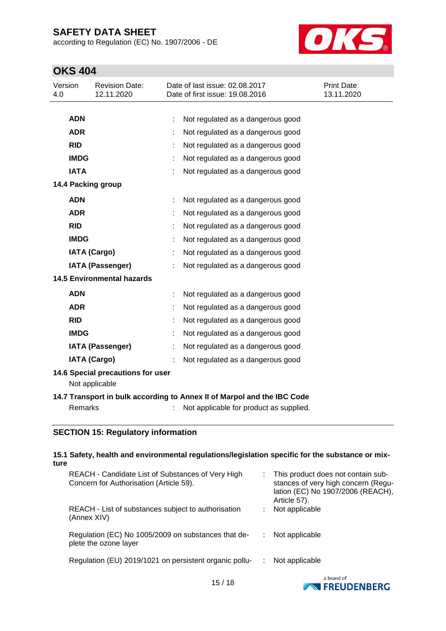according to Regulation (EC) No. 1907/2006 - DE



## **OKS 404**

| Version<br>4.0 |                                                                         | <b>Revision Date:</b><br>12.11.2020 |  | Date of last issue: 02.08.2017<br>Date of first issue: 19.08.2016 | Print Date:<br>13.11.2020 |  |
|----------------|-------------------------------------------------------------------------|-------------------------------------|--|-------------------------------------------------------------------|---------------------------|--|
|                |                                                                         |                                     |  |                                                                   |                           |  |
|                | <b>ADN</b>                                                              |                                     |  | Not regulated as a dangerous good                                 |                           |  |
|                | <b>ADR</b>                                                              |                                     |  | Not regulated as a dangerous good                                 |                           |  |
|                | <b>RID</b>                                                              |                                     |  | Not regulated as a dangerous good                                 |                           |  |
|                | <b>IMDG</b>                                                             |                                     |  | Not regulated as a dangerous good                                 |                           |  |
|                | <b>IATA</b>                                                             |                                     |  | Not regulated as a dangerous good                                 |                           |  |
|                |                                                                         | 14.4 Packing group                  |  |                                                                   |                           |  |
|                | <b>ADN</b>                                                              |                                     |  | Not regulated as a dangerous good                                 |                           |  |
|                | <b>ADR</b>                                                              |                                     |  | Not regulated as a dangerous good                                 |                           |  |
|                | <b>RID</b>                                                              |                                     |  | Not regulated as a dangerous good                                 |                           |  |
|                | <b>IMDG</b>                                                             |                                     |  | Not regulated as a dangerous good                                 |                           |  |
|                |                                                                         | <b>IATA (Cargo)</b>                 |  | Not regulated as a dangerous good                                 |                           |  |
|                |                                                                         | <b>IATA (Passenger)</b>             |  | Not regulated as a dangerous good                                 |                           |  |
|                |                                                                         | <b>14.5 Environmental hazards</b>   |  |                                                                   |                           |  |
|                | <b>ADN</b>                                                              |                                     |  | Not regulated as a dangerous good                                 |                           |  |
|                | <b>ADR</b>                                                              |                                     |  | Not regulated as a dangerous good                                 |                           |  |
|                | <b>RID</b>                                                              |                                     |  | Not regulated as a dangerous good                                 |                           |  |
|                | <b>IMDG</b>                                                             |                                     |  | Not regulated as a dangerous good                                 |                           |  |
|                |                                                                         | <b>IATA (Passenger)</b>             |  | Not regulated as a dangerous good                                 |                           |  |
|                |                                                                         | <b>IATA (Cargo)</b>                 |  | Not regulated as a dangerous good                                 |                           |  |
|                | 14.6 Special precautions for user<br>Not applicable                     |                                     |  |                                                                   |                           |  |
|                | 14.7 Transport in bulk according to Annex II of Marpol and the IBC Code |                                     |  |                                                                   |                           |  |
|                | <b>Remarks</b>                                                          |                                     |  | Not applicable for product as supplied.                           |                           |  |

### **SECTION 15: Regulatory information**

| ture | 15.1 Safety, health and environmental regulations/legislation specific for the substance or mix- |    |                                                                                                                                  |
|------|--------------------------------------------------------------------------------------------------|----|----------------------------------------------------------------------------------------------------------------------------------|
|      | REACH - Candidate List of Substances of Very High<br>Concern for Authorisation (Article 59).     |    | : This product does not contain sub-<br>stances of very high concern (Regu-<br>lation (EC) No 1907/2006 (REACH),<br>Article 57). |
|      | REACH - List of substances subject to authorisation<br>(Annex XIV)                               |    | Not applicable                                                                                                                   |
|      | Regulation (EC) No 1005/2009 on substances that de-<br>plete the ozone layer                     | ÷. | Not applicable                                                                                                                   |
|      | Regulation (EU) 2019/1021 on persistent organic pollu-                                           |    | Not applicable                                                                                                                   |
|      |                                                                                                  |    | a hrand of                                                                                                                       |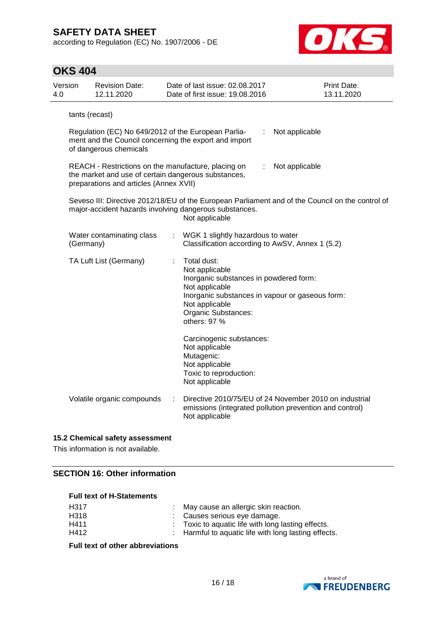according to Regulation (EC) No. 1907/2006 - DE



| <b>OKS 404</b> |                                                                                                                                                          |    |                                                                                                                                                                                                       |                                                                                                                   |  |  |  |
|----------------|----------------------------------------------------------------------------------------------------------------------------------------------------------|----|-------------------------------------------------------------------------------------------------------------------------------------------------------------------------------------------------------|-------------------------------------------------------------------------------------------------------------------|--|--|--|
| Version<br>4.0 | <b>Revision Date:</b><br>12.11.2020                                                                                                                      |    | Date of last issue: 02.08.2017<br>Date of first issue: 19,08,2016                                                                                                                                     | Print Date:<br>13.11.2020                                                                                         |  |  |  |
|                | tants (recast)                                                                                                                                           |    |                                                                                                                                                                                                       |                                                                                                                   |  |  |  |
|                | Regulation (EC) No 649/2012 of the European Parlia-<br>Not applicable<br>ment and the Council concerning the export and import<br>of dangerous chemicals |    |                                                                                                                                                                                                       |                                                                                                                   |  |  |  |
|                | REACH - Restrictions on the manufacture, placing on<br>the market and use of certain dangerous substances,<br>preparations and articles (Annex XVII)     |    | ÷                                                                                                                                                                                                     | Not applicable                                                                                                    |  |  |  |
|                | major-accident hazards involving dangerous substances.                                                                                                   |    | Not applicable                                                                                                                                                                                        | Seveso III: Directive 2012/18/EU of the European Parliament and of the Council on the control of                  |  |  |  |
|                | Water contaminating class<br>(Germany)                                                                                                                   | ÷. | WGK 1 slightly hazardous to water<br>Classification according to AwSV, Annex 1 (5.2)                                                                                                                  |                                                                                                                   |  |  |  |
|                | TA Luft List (Germany)                                                                                                                                   | ÷  | Total dust:<br>Not applicable<br>Inorganic substances in powdered form:<br>Not applicable<br>Inorganic substances in vapour or gaseous form:<br>Not applicable<br>Organic Substances:<br>others: 97 % |                                                                                                                   |  |  |  |
|                |                                                                                                                                                          |    | Carcinogenic substances:<br>Not applicable<br>Mutagenic:<br>Not applicable<br>Toxic to reproduction:<br>Not applicable                                                                                |                                                                                                                   |  |  |  |
|                | Volatile organic compounds                                                                                                                               | ÷  | Not applicable                                                                                                                                                                                        | Directive 2010/75/EU of 24 November 2010 on industrial<br>emissions (integrated pollution prevention and control) |  |  |  |

#### **15.2 Chemical safety assessment**

This information is not available.

## **SECTION 16: Other information**

|  |  | <b>Full text of H-Statements</b> |
|--|--|----------------------------------|
|--|--|----------------------------------|

| H317 | : May cause an allergic skin reaction.               |
|------|------------------------------------------------------|
| H318 | : Causes serious eye damage.                         |
| H411 | : Toxic to aquatic life with long lasting effects.   |
| H412 | : Harmful to aquatic life with long lasting effects. |

**Full text of other abbreviations**

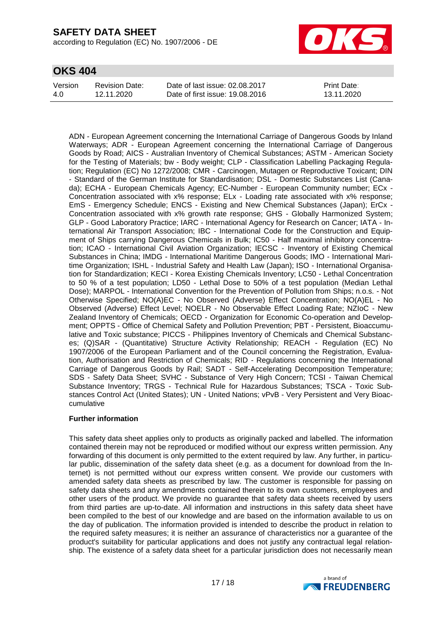according to Regulation (EC) No. 1907/2006 - DE



### **OKS 404**

| Version | Revision Date: | Date of last issue: 02.08.2017  | <b>Print Date:</b> |
|---------|----------------|---------------------------------|--------------------|
| 4.0     | 12.11.2020     | Date of first issue: 19,08,2016 | 13.11.2020         |

ADN - European Agreement concerning the International Carriage of Dangerous Goods by Inland Waterways; ADR - European Agreement concerning the International Carriage of Dangerous Goods by Road; AICS - Australian Inventory of Chemical Substances; ASTM - American Society for the Testing of Materials; bw - Body weight; CLP - Classification Labelling Packaging Regulation; Regulation (EC) No 1272/2008; CMR - Carcinogen, Mutagen or Reproductive Toxicant; DIN - Standard of the German Institute for Standardisation; DSL - Domestic Substances List (Canada); ECHA - European Chemicals Agency; EC-Number - European Community number; ECx - Concentration associated with x% response; ELx - Loading rate associated with x% response; EmS - Emergency Schedule; ENCS - Existing and New Chemical Substances (Japan); ErCx - Concentration associated with x% growth rate response; GHS - Globally Harmonized System; GLP - Good Laboratory Practice; IARC - International Agency for Research on Cancer; IATA - International Air Transport Association; IBC - International Code for the Construction and Equipment of Ships carrying Dangerous Chemicals in Bulk; IC50 - Half maximal inhibitory concentration; ICAO - International Civil Aviation Organization; IECSC - Inventory of Existing Chemical Substances in China; IMDG - International Maritime Dangerous Goods; IMO - International Maritime Organization; ISHL - Industrial Safety and Health Law (Japan); ISO - International Organisation for Standardization; KECI - Korea Existing Chemicals Inventory; LC50 - Lethal Concentration to 50 % of a test population; LD50 - Lethal Dose to 50% of a test population (Median Lethal Dose); MARPOL - International Convention for the Prevention of Pollution from Ships; n.o.s. - Not Otherwise Specified; NO(A)EC - No Observed (Adverse) Effect Concentration; NO(A)EL - No Observed (Adverse) Effect Level; NOELR - No Observable Effect Loading Rate; NZIoC - New Zealand Inventory of Chemicals; OECD - Organization for Economic Co-operation and Development; OPPTS - Office of Chemical Safety and Pollution Prevention; PBT - Persistent, Bioaccumulative and Toxic substance; PICCS - Philippines Inventory of Chemicals and Chemical Substances; (Q)SAR - (Quantitative) Structure Activity Relationship; REACH - Regulation (EC) No 1907/2006 of the European Parliament and of the Council concerning the Registration, Evaluation, Authorisation and Restriction of Chemicals; RID - Regulations concerning the International Carriage of Dangerous Goods by Rail; SADT - Self-Accelerating Decomposition Temperature; SDS - Safety Data Sheet; SVHC - Substance of Very High Concern; TCSI - Taiwan Chemical Substance Inventory; TRGS - Technical Rule for Hazardous Substances; TSCA - Toxic Substances Control Act (United States); UN - United Nations; vPvB - Very Persistent and Very Bioaccumulative

#### **Further information**

This safety data sheet applies only to products as originally packed and labelled. The information contained therein may not be reproduced or modified without our express written permission. Any forwarding of this document is only permitted to the extent required by law. Any further, in particular public, dissemination of the safety data sheet (e.g. as a document for download from the Internet) is not permitted without our express written consent. We provide our customers with amended safety data sheets as prescribed by law. The customer is responsible for passing on safety data sheets and any amendments contained therein to its own customers, employees and other users of the product. We provide no guarantee that safety data sheets received by users from third parties are up-to-date. All information and instructions in this safety data sheet have been compiled to the best of our knowledge and are based on the information available to us on the day of publication. The information provided is intended to describe the product in relation to the required safety measures; it is neither an assurance of characteristics nor a guarantee of the product's suitability for particular applications and does not justify any contractual legal relationship. The existence of a safety data sheet for a particular jurisdiction does not necessarily mean